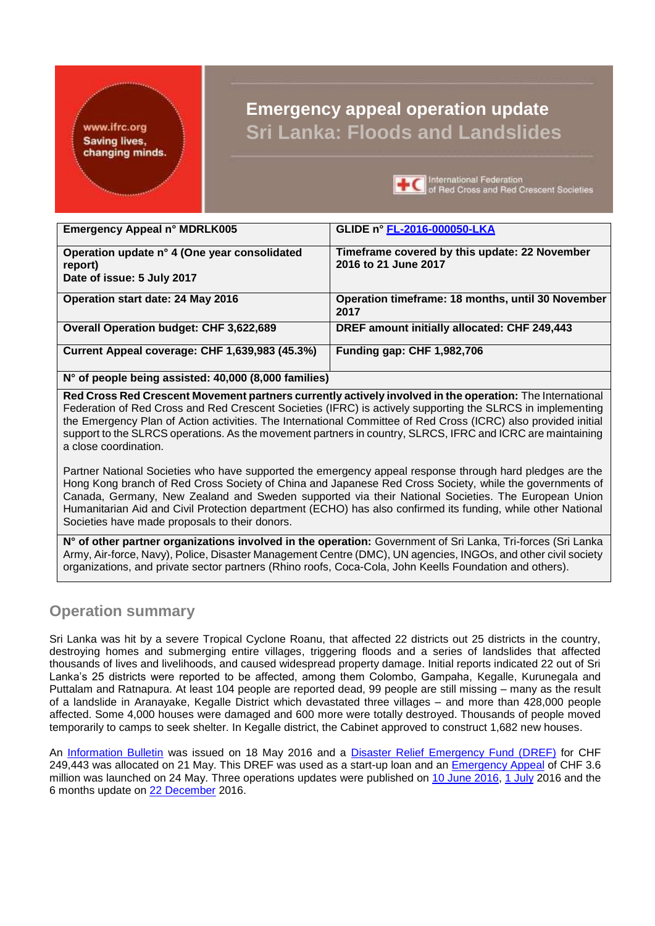www.ifrc.org **Saving lives,** changing minds.

# **Emergency appeal operation update Sri Lanka: Floods and Landslides**



**L** C international Federation<br>
of Red Cross and Red Crescent Societies

| Emergency Appeal n° MDRLK005                            | GLIDE n° FL-2016-000050-LKA                                           |
|---------------------------------------------------------|-----------------------------------------------------------------------|
| Operation update n° 4 (One year consolidated<br>report) | Timeframe covered by this update: 22 November<br>2016 to 21 June 2017 |
| Date of issue: 5 July 2017                              |                                                                       |
| Operation start date: 24 May 2016                       | Operation timeframe: 18 months, until 30 November<br>2017             |
| <b>Overall Operation budget: CHF 3,622,689</b>          | DREF amount initially allocated: CHF 249,443                          |
| Current Appeal coverage: CHF 1,639,983 (45.3%)          | <b>Funding gap: CHF 1,982,706</b>                                     |
| N° of people being assisted: 40,000 (8,000 families)    |                                                                       |

**Red Cross Red Crescent Movement partners currently actively involved in the operation:** The International Federation of Red Cross and Red Crescent Societies (IFRC) is actively supporting the SLRCS in implementing the Emergency Plan of Action activities. The International Committee of Red Cross (ICRC) also provided initial support to the SLRCS operations. As the movement partners in country, SLRCS, IFRC and ICRC are maintaining a close coordination.

Partner National Societies who have supported the emergency appeal response through hard pledges are the Hong Kong branch of Red Cross Society of China and Japanese Red Cross Society, while the governments of Canada, Germany, New Zealand and Sweden supported via their National Societies. The European Union Humanitarian Aid and Civil Protection department (ECHO) has also confirmed its funding, while other National Societies have made proposals to their donors.

**N° of other partner organizations involved in the operation:** Government of Sri Lanka, Tri-forces (Sri Lanka Army, Air-force, Navy), Police, Disaster Management Centre (DMC), UN agencies, INGOs, and other civil society organizations, and private sector partners (Rhino roofs, Coca-Cola, John Keells Foundation and others).

# **Operation summary**

Sri Lanka was hit by a severe Tropical Cyclone Roanu, that affected 22 districts out 25 districts in the country, destroying homes and submerging entire villages, triggering floods and a series of landslides that affected thousands of lives and livelihoods, and caused widespread property damage. Initial reports indicated 22 out of Sri Lanka's 25 districts were reported to be affected, among them Colombo, Gampaha, Kegalle, Kurunegala and Puttalam and Ratnapura. At least 104 people are reported dead, 99 people are still missing – many as the result of a landslide in Aranayake, Kegalle District which devastated three villages – and more than 428,000 people affected. Some 4,000 houses were damaged and 600 more were totally destroyed. Thousands of people moved temporarily to camps to seek shelter. In Kegalle district, the Cabinet approved to construct 1,682 new houses.

An [Information Bulletin](http://www.ifrc.org/docs/Appeals/LK01/IB_SLfi18052016.pdf) was issued on 18 May 2016 and a Disaster Relief Emergency Fund [\(DREF\)](http://www.ifrc.org/docs/Appeals/16/MDRLK005dref.pdf) for CHF 249,443 was allocated on 21 May. This DREF was used as a start-up loan and an [Emergency Appeal](http://adore.ifrc.org/Download.aspx?FileId=131882) of CHF 3.6 million was launched on 24 May. Three [operations updates](http://adore.ifrc.org/Download.aspx?FileId=133567) were published on [10 June](http://adore.ifrc.org/Download.aspx?FileId=133567) 2016, [1 July](http://adore.ifrc.org/Download.aspx?FileId=135883) 2016 and the 6 months update on [22 December](http://adore.ifrc.org/Download.aspx?FileId=153750) 2016.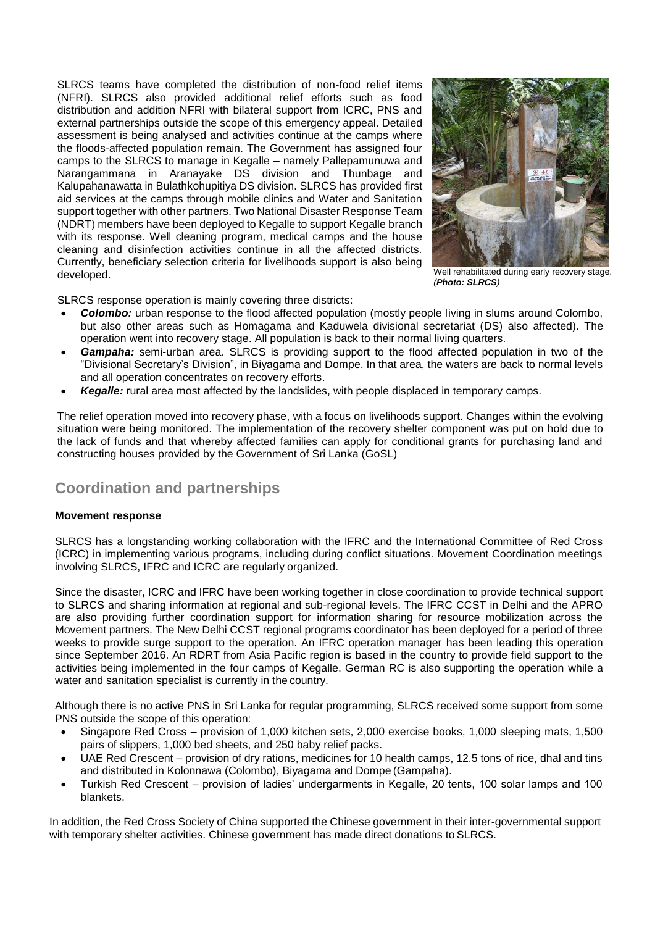SLRCS teams have completed the distribution of non-food relief items (NFRI). SLRCS also provided additional relief efforts such as food distribution and addition NFRI with bilateral support from ICRC, PNS and external partnerships outside the scope of this emergency appeal. Detailed assessment is being analysed and activities continue at the camps where the floods-affected population remain. The Government has assigned four camps to the SLRCS to manage in Kegalle – namely Pallepamunuwa and Narangammana in Aranayake DS division and Thunbage and Kalupahanawatta in Bulathkohupitiya DS division. SLRCS has provided first aid services at the camps through mobile clinics and Water and Sanitation support together with other partners. Two National Disaster Response Team (NDRT) members have been deployed to Kegalle to support Kegalle branch with its response. Well cleaning program, medical camps and the house cleaning and disinfection activities continue in all the affected districts. Currently, beneficiary selection criteria for livelihoods support is also being developed.



Well rehabilitated during early recovery stage. *(Photo: SLRCS)*

SLRCS response operation is mainly covering three districts:

- *Colombo:* urban response to the flood affected population (mostly people living in slums around Colombo, but also other areas such as Homagama and Kaduwela divisional secretariat (DS) also affected). The operation went into recovery stage. All population is back to their normal living quarters.
- *Gampaha:* semi-urban area. SLRCS is providing support to the flood affected population in two of the "Divisional Secretary's Division", in Biyagama and Dompe. In that area, the waters are back to normal levels and all operation concentrates on recovery efforts.
- *Kegalle:* rural area most affected by the landslides, with people displaced in temporary camps.

The relief operation moved into recovery phase, with a focus on livelihoods support. Changes within the evolving situation were being monitored. The implementation of the recovery shelter component was put on hold due to the lack of funds and that whereby affected families can apply for conditional grants for purchasing land and constructing houses provided by the Government of Sri Lanka (GoSL)

# **Coordination and partnerships**

### **Movement response**

SLRCS has a longstanding working collaboration with the IFRC and the International Committee of Red Cross (ICRC) in implementing various programs, including during conflict situations. Movement Coordination meetings involving SLRCS, IFRC and ICRC are regularly organized.

Since the disaster, ICRC and IFRC have been working together in close coordination to provide technical support to SLRCS and sharing information at regional and sub-regional levels. The IFRC CCST in Delhi and the APRO are also providing further coordination support for information sharing for resource mobilization across the Movement partners. The New Delhi CCST regional programs coordinator has been deployed for a period of three weeks to provide surge support to the operation. An IFRC operation manager has been leading this operation since September 2016. An RDRT from Asia Pacific region is based in the country to provide field support to the activities being implemented in the four camps of Kegalle. German RC is also supporting the operation while a water and sanitation specialist is currently in the country.

Although there is no active PNS in Sri Lanka for regular programming, SLRCS received some support from some PNS outside the scope of this operation:

- Singapore Red Cross provision of 1,000 kitchen sets, 2,000 exercise books, 1,000 sleeping mats, 1,500 pairs of slippers, 1,000 bed sheets, and 250 baby relief packs.
- UAE Red Crescent provision of dry rations, medicines for 10 health camps, 12.5 tons of rice, dhal and tins and distributed in Kolonnawa (Colombo), Biyagama and Dompe (Gampaha).
- Turkish Red Crescent provision of ladies' undergarments in Kegalle, 20 tents, 100 solar lamps and 100 blankets.

In addition, the Red Cross Society of China supported the Chinese government in their inter-governmental support with temporary shelter activities. Chinese government has made direct donations to SLRCS.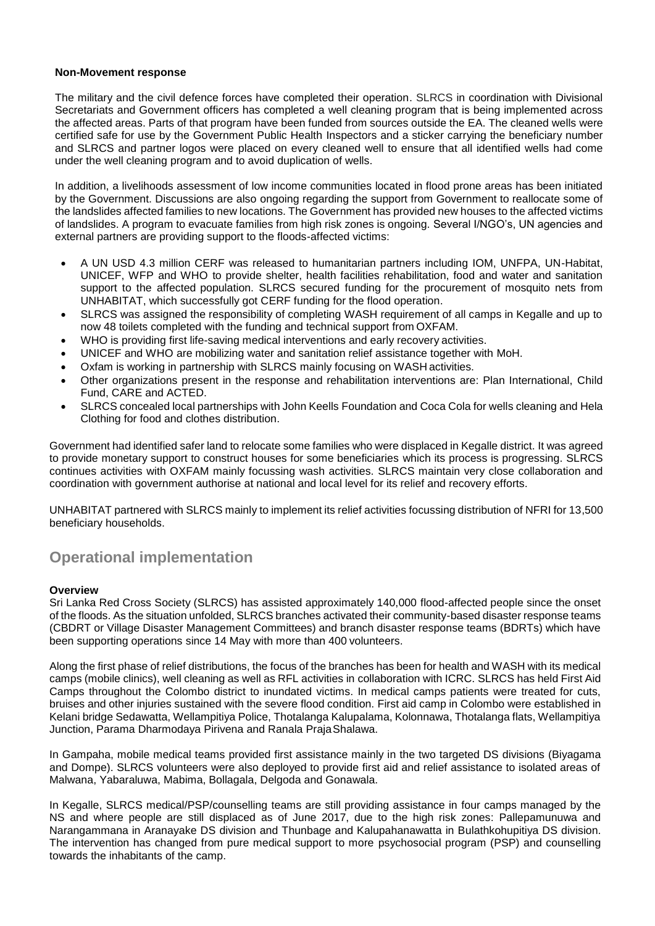### **Non-Movement response**

The military and the civil defence forces have completed their operation. SLRCS in coordination with Divisional Secretariats and Government officers has completed a well cleaning program that is being implemented across the affected areas. Parts of that program have been funded from sources outside the EA. The cleaned wells were certified safe for use by the Government Public Health Inspectors and a sticker carrying the beneficiary number and SLRCS and partner logos were placed on every cleaned well to ensure that all identified wells had come under the well cleaning program and to avoid duplication of wells.

In addition, a livelihoods assessment of low income communities located in flood prone areas has been initiated by the Government. Discussions are also ongoing regarding the support from Government to reallocate some of the landslides affected families to new locations. The Government has provided new houses to the affected victims of landslides. A program to evacuate families from high risk zones is ongoing. Several I/NGO's, UN agencies and external partners are providing support to the floods-affected victims:

- A UN USD 4.3 million CERF was released to humanitarian partners including IOM, UNFPA, UN-Habitat, UNICEF, WFP and WHO to provide shelter, health facilities rehabilitation, food and water and sanitation support to the affected population. SLRCS secured funding for the procurement of mosquito nets from UNHABITAT, which successfully got CERF funding for the flood operation.
- SLRCS was assigned the responsibility of completing WASH requirement of all camps in Kegalle and up to now 48 toilets completed with the funding and technical support from OXFAM.
- WHO is providing first life-saving medical interventions and early recovery activities.
- UNICEF and WHO are mobilizing water and sanitation relief assistance together with MoH.
- Oxfam is working in partnership with SLRCS mainly focusing on WASH activities.
- Other organizations present in the response and rehabilitation interventions are: Plan International, Child Fund, CARE and ACTED.
- SLRCS concealed local partnerships with John Keells Foundation and Coca Cola for wells cleaning and Hela Clothing for food and clothes distribution.

Government had identified safer land to relocate some families who were displaced in Kegalle district. It was agreed to provide monetary support to construct houses for some beneficiaries which its process is progressing. SLRCS continues activities with OXFAM mainly focussing wash activities. SLRCS maintain very close collaboration and coordination with government authorise at national and local level for its relief and recovery efforts.

UNHABITAT partnered with SLRCS mainly to implement its relief activities focussing distribution of NFRI for 13,500 beneficiary households.

# **Operational implementation**

### **Overview**

Sri Lanka Red Cross Society (SLRCS) has assisted approximately 140,000 flood-affected people since the onset of the floods. As the situation unfolded, SLRCS branches activated their community-based disaster response teams (CBDRT or Village Disaster Management Committees) and branch disaster response teams (BDRTs) which have been supporting operations since 14 May with more than 400 volunteers.

Along the first phase of relief distributions, the focus of the branches has been for health and WASH with its medical camps (mobile clinics), well cleaning as well as RFL activities in collaboration with ICRC. SLRCS has held First Aid Camps throughout the Colombo district to inundated victims. In medical camps patients were treated for cuts, bruises and other injuries sustained with the severe flood condition. First aid camp in Colombo were established in Kelani bridge Sedawatta, Wellampitiya Police, Thotalanga Kalupalama, Kolonnawa, Thotalanga flats, Wellampitiya Junction, Parama Dharmodaya Pirivena and Ranala PrajaShalawa.

In Gampaha, mobile medical teams provided first assistance mainly in the two targeted DS divisions (Biyagama and Dompe). SLRCS volunteers were also deployed to provide first aid and relief assistance to isolated areas of Malwana, Yabaraluwa, Mabima, Bollagala, Delgoda and Gonawala.

In Kegalle, SLRCS medical/PSP/counselling teams are still providing assistance in four camps managed by the NS and where people are still displaced as of June 2017, due to the high risk zones: Pallepamunuwa and Narangammana in Aranayake DS division and Thunbage and Kalupahanawatta in Bulathkohupitiya DS division. The intervention has changed from pure medical support to more psychosocial program (PSP) and counselling towards the inhabitants of the camp.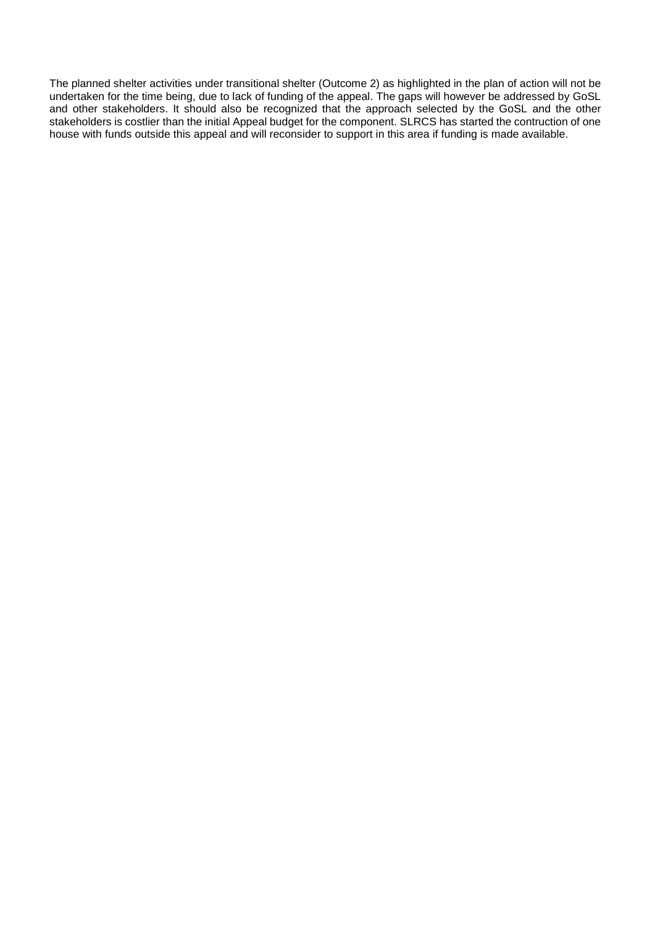The planned shelter activities under transitional shelter (Outcome 2) as highlighted in the plan of action will not be undertaken for the time being, due to lack of funding of the appeal. The gaps will however be addressed by GoSL and other stakeholders. It should also be recognized that the approach selected by the GoSL and the other stakeholders is costlier than the initial Appeal budget for the component. SLRCS has started the contruction of one house with funds outside this appeal and will reconsider to support in this area if funding is made available.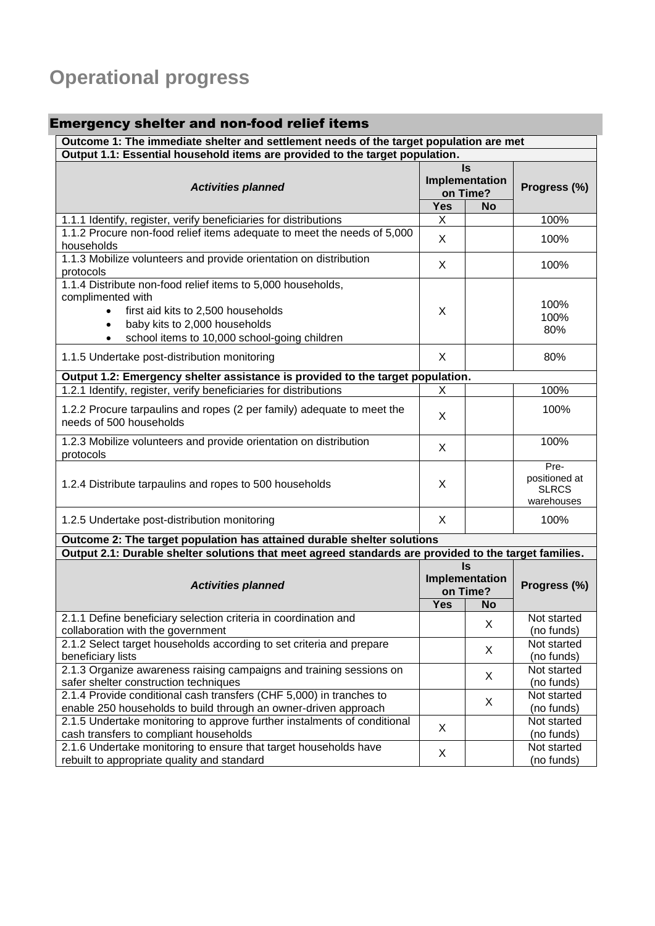# **Operational progress**

| <b>Emergency shelter and non-food relief items</b>                                                                                                                                                                   |            |                                             |                                                     |
|----------------------------------------------------------------------------------------------------------------------------------------------------------------------------------------------------------------------|------------|---------------------------------------------|-----------------------------------------------------|
| Outcome 1: The immediate shelter and settlement needs of the target population are met                                                                                                                               |            |                                             |                                                     |
| Output 1.1: Essential household items are provided to the target population.                                                                                                                                         |            |                                             |                                                     |
| <b>Activities planned</b>                                                                                                                                                                                            |            | <b>Is</b><br>Implementation<br>on Time?     | Progress (%)                                        |
|                                                                                                                                                                                                                      | <b>Yes</b> | <b>No</b>                                   |                                                     |
| 1.1.1 Identify, register, verify beneficiaries for distributions                                                                                                                                                     | X          |                                             | 100%                                                |
| 1.1.2 Procure non-food relief items adequate to meet the needs of 5,000<br>households                                                                                                                                | X          |                                             | 100%                                                |
| 1.1.3 Mobilize volunteers and provide orientation on distribution<br>protocols                                                                                                                                       | X          |                                             | 100%                                                |
| 1.1.4 Distribute non-food relief items to 5,000 households,<br>complimented with<br>first aid kits to 2,500 households<br>baby kits to 2,000 households<br>school items to 10,000 school-going children<br>$\bullet$ | X          |                                             | 100%<br>100%<br>80%                                 |
| 1.1.5 Undertake post-distribution monitoring                                                                                                                                                                         | X          |                                             | 80%                                                 |
| Output 1.2: Emergency shelter assistance is provided to the target population.                                                                                                                                       |            |                                             |                                                     |
| 1.2.1 Identify, register, verify beneficiaries for distributions                                                                                                                                                     | X          |                                             | 100%                                                |
| 1.2.2 Procure tarpaulins and ropes (2 per family) adequate to meet the<br>needs of 500 households                                                                                                                    | X          |                                             | 100%                                                |
| 1.2.3 Mobilize volunteers and provide orientation on distribution<br>protocols                                                                                                                                       | X          |                                             | 100%                                                |
| 1.2.4 Distribute tarpaulins and ropes to 500 households                                                                                                                                                              | X          |                                             | Pre-<br>positioned at<br><b>SLRCS</b><br>warehouses |
| 1.2.5 Undertake post-distribution monitoring                                                                                                                                                                         | X          |                                             | 100%                                                |
| Outcome 2: The target population has attained durable shelter solutions                                                                                                                                              |            |                                             |                                                     |
| Output 2.1: Durable shelter solutions that meet agreed standards are provided to the target families.                                                                                                                |            |                                             |                                                     |
| <b>Activities planned</b>                                                                                                                                                                                            |            | $\mathsf{ls}$<br>Implementation<br>on Time? | Progress (%)                                        |
|                                                                                                                                                                                                                      | <b>Yes</b> | <b>No</b>                                   |                                                     |
| 2.1.1 Define beneficiary selection criteria in coordination and<br>collaboration with the government                                                                                                                 |            | X                                           | Not started<br>(no funds)                           |
| 2.1.2 Select target households according to set criteria and prepare<br>beneficiary lists                                                                                                                            |            | X                                           | Not started<br>(no funds)                           |
| 2.1.3 Organize awareness raising campaigns and training sessions on<br>safer shelter construction techniques                                                                                                         |            | X                                           | Not started<br>(no funds)                           |
| 2.1.4 Provide conditional cash transfers (CHF 5,000) in tranches to<br>enable 250 households to build through an owner-driven approach                                                                               |            | X                                           | Not started<br>(no funds)                           |
| 2.1.5 Undertake monitoring to approve further instalments of conditional<br>cash transfers to compliant households                                                                                                   | X          |                                             | Not started<br>(no funds)                           |

Not started (no funds)

2.1.6 Undertake monitoring to ensure that target households have

2.1.6 Undertake monitoring to ensure that target households have  $X$  rebuilt to appropriate quality and standard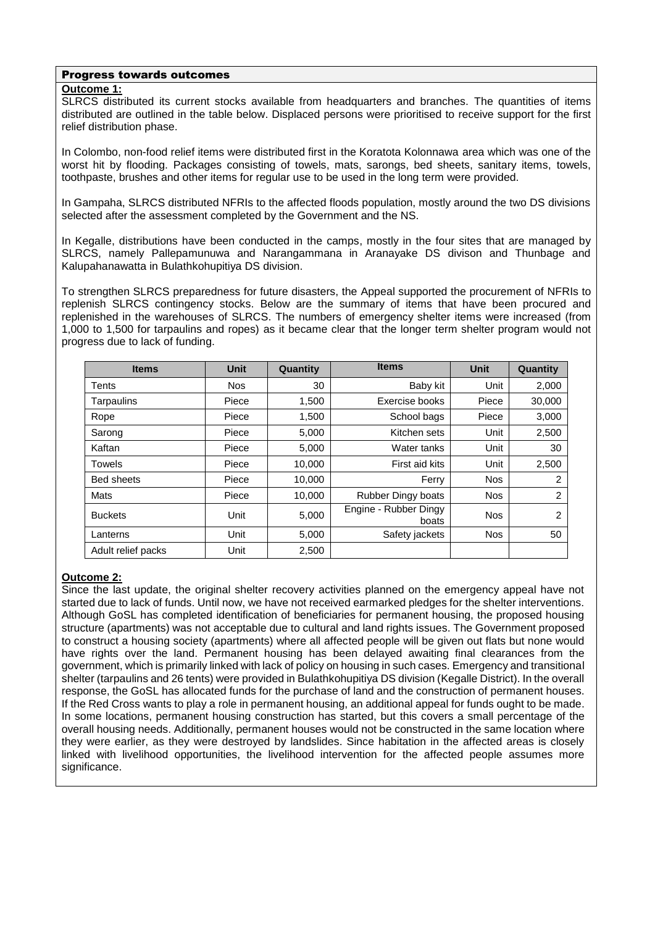### Progress towards outcomes

### **Outcome 1:**

SLRCS distributed its current stocks available from headquarters and branches. The quantities of items distributed are outlined in the table below. Displaced persons were prioritised to receive support for the first relief distribution phase.

In Colombo, non-food relief items were distributed first in the Koratota Kolonnawa area which was one of the worst hit by flooding. Packages consisting of towels, mats, sarongs, bed sheets, sanitary items, towels, toothpaste, brushes and other items for regular use to be used in the long term were provided.

In Gampaha, SLRCS distributed NFRIs to the affected floods population, mostly around the two DS divisions selected after the assessment completed by the Government and the NS.

In Kegalle, distributions have been conducted in the camps, mostly in the four sites that are managed by SLRCS, namely Pallepamunuwa and Narangammana in Aranayake DS divison and Thunbage and Kalupahanawatta in Bulathkohupitiya DS division.

To strengthen SLRCS preparedness for future disasters, the Appeal supported the procurement of NFRIs to replenish SLRCS contingency stocks. Below are the summary of items that have been procured and replenished in the warehouses of SLRCS. The numbers of emergency shelter items were increased (from 1,000 to 1,500 for tarpaulins and ropes) as it became clear that the longer term shelter program would not progress due to lack of funding.

| <b>Items</b>       | <b>Unit</b> | Quantity | <b>Items</b>                   | <b>Unit</b> | Quantity |
|--------------------|-------------|----------|--------------------------------|-------------|----------|
| Tents              | <b>Nos</b>  | 30       | Baby kit                       | Unit        | 2,000    |
| Tarpaulins         | Piece       | 1,500    | Exercise books                 | Piece       | 30,000   |
| Rope               | Piece       | 1,500    | School bags                    | Piece       | 3,000    |
| Sarong             | Piece       | 5,000    | Kitchen sets                   | Unit        | 2,500    |
| Kaftan             | Piece       | 5,000    | Water tanks                    | Unit        | 30       |
| <b>Towels</b>      | Piece       | 10.000   | First aid kits                 | Unit        | 2,500    |
| <b>Bed sheets</b>  | Piece       | 10,000   | Ferry                          | <b>Nos</b>  | 2        |
| Mats               | Piece       | 10.000   | <b>Rubber Dingy boats</b>      | <b>Nos</b>  | 2        |
| <b>Buckets</b>     | Unit        | 5,000    | Engine - Rubber Dingy<br>boats | <b>Nos</b>  | 2        |
| Lanterns           | Unit        | 5,000    | Safety jackets                 | <b>Nos</b>  | 50       |
| Adult relief packs | Unit        | 2,500    |                                |             |          |

### **Outcome 2:**

Since the last update, the original shelter recovery activities planned on the emergency appeal have not started due to lack of funds. Until now, we have not received earmarked pledges for the shelter interventions. Although GoSL has completed identification of beneficiaries for permanent housing, the proposed housing structure (apartments) was not acceptable due to cultural and land rights issues. The Government proposed to construct a housing society (apartments) where all affected people will be given out flats but none would have rights over the land. Permanent housing has been delayed awaiting final clearances from the government, which is primarily linked with lack of policy on housing in such cases. Emergency and transitional shelter (tarpaulins and 26 tents) were provided in Bulathkohupitiya DS division (Kegalle District). In the overall response, the GoSL has allocated funds for the purchase of land and the construction of permanent houses. If the Red Cross wants to play a role in permanent housing, an additional appeal for funds ought to be made. In some locations, permanent housing construction has started, but this covers a small percentage of the overall housing needs. Additionally, permanent houses would not be constructed in the same location where they were earlier, as they were destroyed by landslides. Since habitation in the affected areas is closely linked with livelihood opportunities, the livelihood intervention for the affected people assumes more significance.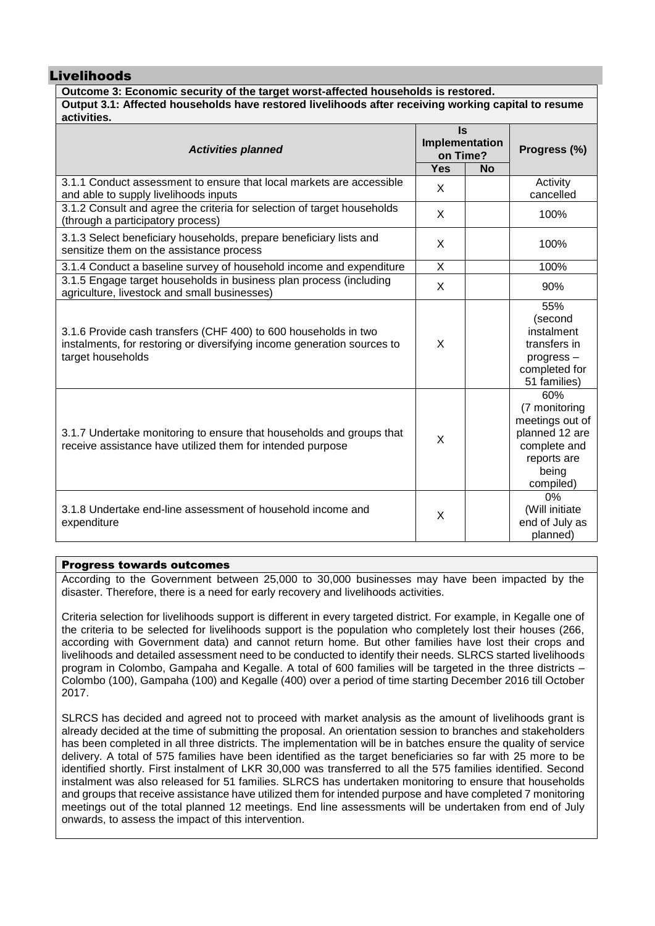### Livelihoods

### **Outcome 3: Economic security of the target worst-affected households is restored. Output 3.1: Affected households have restored livelihoods after receiving working capital to resume activities.**

| <b>Activities planned</b>                                                                                                                                       | <b>Is</b><br>Implementation<br>on Time? |           | Progress (%)                                                                                                   |
|-----------------------------------------------------------------------------------------------------------------------------------------------------------------|-----------------------------------------|-----------|----------------------------------------------------------------------------------------------------------------|
|                                                                                                                                                                 | <b>Yes</b>                              | <b>No</b> |                                                                                                                |
| 3.1.1 Conduct assessment to ensure that local markets are accessible<br>and able to supply livelihoods inputs                                                   | X                                       |           | Activity<br>cancelled                                                                                          |
| 3.1.2 Consult and agree the criteria for selection of target households<br>(through a participatory process)                                                    | X                                       |           | 100%                                                                                                           |
| 3.1.3 Select beneficiary households, prepare beneficiary lists and<br>sensitize them on the assistance process                                                  | X                                       |           | 100%                                                                                                           |
| 3.1.4 Conduct a baseline survey of household income and expenditure                                                                                             | X                                       |           | 100%                                                                                                           |
| 3.1.5 Engage target households in business plan process (including<br>agriculture, livestock and small businesses)                                              | X                                       |           | 90%                                                                                                            |
| 3.1.6 Provide cash transfers (CHF 400) to 600 households in two<br>instalments, for restoring or diversifying income generation sources to<br>target households | X                                       |           | 55%<br>(second<br>instalment<br>transfers in<br>progress-<br>completed for<br>51 families)                     |
| 3.1.7 Undertake monitoring to ensure that households and groups that<br>receive assistance have utilized them for intended purpose                              | X                                       |           | 60%<br>(7 monitoring<br>meetings out of<br>planned 12 are<br>complete and<br>reports are<br>being<br>compiled) |
| 3.1.8 Undertake end-line assessment of household income and<br>expenditure                                                                                      | X                                       |           | 0%<br>(Will initiate<br>end of July as<br>planned)                                                             |

### Progress towards outcomes

According to the Government between 25,000 to 30,000 businesses may have been impacted by the disaster. Therefore, there is a need for early recovery and livelihoods activities.

Criteria selection for livelihoods support is different in every targeted district. For example, in Kegalle one of the criteria to be selected for livelihoods support is the population who completely lost their houses (266, according with Government data) and cannot return home. But other families have lost their crops and livelihoods and detailed assessment need to be conducted to identify their needs. SLRCS started livelihoods program in Colombo, Gampaha and Kegalle. A total of 600 families will be targeted in the three districts – Colombo (100), Gampaha (100) and Kegalle (400) over a period of time starting December 2016 till October 2017.

SLRCS has decided and agreed not to proceed with market analysis as the amount of livelihoods grant is already decided at the time of submitting the proposal. An orientation session to branches and stakeholders has been completed in all three districts. The implementation will be in batches ensure the quality of service delivery. A total of 575 families have been identified as the target beneficiaries so far with 25 more to be identified shortly. First instalment of LKR 30,000 was transferred to all the 575 families identified. Second instalment was also released for 51 families. SLRCS has undertaken monitoring to ensure that households and groups that receive assistance have utilized them for intended purpose and have completed 7 monitoring meetings out of the total planned 12 meetings. End line assessments will be undertaken from end of July onwards, to assess the impact of this intervention.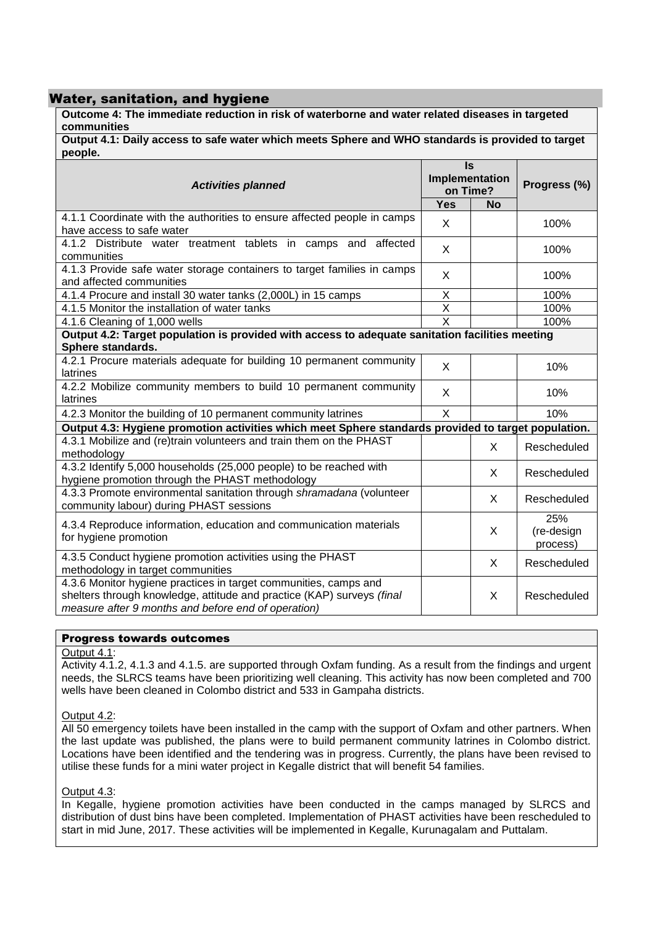### Water, sanitation, and hygiene

**Outcome 4: The immediate reduction in risk of waterborne and water related diseases in targeted communities**

**Output 4.1: Daily access to safe water which meets Sphere and WHO standards is provided to target people.**

| <b>Activities planned</b>                                                                                                                                                                         |                         | $\mathsf{ls}$              |                               |  |
|---------------------------------------------------------------------------------------------------------------------------------------------------------------------------------------------------|-------------------------|----------------------------|-------------------------------|--|
|                                                                                                                                                                                                   |                         | Implementation<br>on Time? | Progress (%)                  |  |
|                                                                                                                                                                                                   | <b>Yes</b>              | <b>No</b>                  |                               |  |
| 4.1.1 Coordinate with the authorities to ensure affected people in camps<br>have access to safe water                                                                                             | X                       |                            | 100%                          |  |
| 4.1.2 Distribute water treatment tablets in camps and affected<br>communities                                                                                                                     | X                       |                            | 100%                          |  |
| 4.1.3 Provide safe water storage containers to target families in camps<br>and affected communities                                                                                               | X                       |                            | 100%                          |  |
| 4.1.4 Procure and install 30 water tanks (2,000L) in 15 camps                                                                                                                                     | $\overline{X}$          |                            | 100%                          |  |
| 4.1.5 Monitor the installation of water tanks                                                                                                                                                     | $\overline{\mathsf{x}}$ |                            | 100%                          |  |
| 4.1.6 Cleaning of 1,000 wells                                                                                                                                                                     | $\overline{X}$          |                            | 100%                          |  |
| Output 4.2: Target population is provided with access to adequate sanitation facilities meeting                                                                                                   |                         |                            |                               |  |
| Sphere standards.                                                                                                                                                                                 |                         |                            |                               |  |
| 4.2.1 Procure materials adequate for building 10 permanent community<br>latrines                                                                                                                  | X                       |                            | 10%                           |  |
| 4.2.2 Mobilize community members to build 10 permanent community<br>latrines                                                                                                                      | X                       |                            | 10%                           |  |
| 4.2.3 Monitor the building of 10 permanent community latrines                                                                                                                                     | $\mathsf{X}$            |                            | 10%                           |  |
| Output 4.3: Hygiene promotion activities which meet Sphere standards provided to target population.                                                                                               |                         |                            |                               |  |
| 4.3.1 Mobilize and (re)train volunteers and train them on the PHAST<br>methodology                                                                                                                |                         | X                          | Rescheduled                   |  |
| 4.3.2 Identify 5,000 households (25,000 people) to be reached with<br>hygiene promotion through the PHAST methodology                                                                             |                         | X                          | Rescheduled                   |  |
| 4.3.3 Promote environmental sanitation through shramadana (volunteer<br>community labour) during PHAST sessions                                                                                   |                         | X                          | Rescheduled                   |  |
| 4.3.4 Reproduce information, education and communication materials<br>for hygiene promotion                                                                                                       |                         | X                          | 25%<br>(re-design<br>process) |  |
| 4.3.5 Conduct hygiene promotion activities using the PHAST<br>methodology in target communities                                                                                                   |                         | X                          | Rescheduled                   |  |
| 4.3.6 Monitor hygiene practices in target communities, camps and<br>shelters through knowledge, attitude and practice (KAP) surveys (final<br>measure after 9 months and before end of operation) |                         | X                          | Rescheduled                   |  |

### Progress towards outcomes

### Output 4.1:

Activity 4.1.2, 4.1.3 and 4.1.5. are supported through Oxfam funding. As a result from the findings and urgent needs, the SLRCS teams have been prioritizing well cleaning. This activity has now been completed and 700 wells have been cleaned in Colombo district and 533 in Gampaha districts.

### Output 4.2:

All 50 emergency toilets have been installed in the camp with the support of Oxfam and other partners. When the last update was published, the plans were to build permanent community latrines in Colombo district. Locations have been identified and the tendering was in progress. Currently, the plans have been revised to utilise these funds for a mini water project in Kegalle district that will benefit 54 families.

### Output 4.3:

In Kegalle, hygiene promotion activities have been conducted in the camps managed by SLRCS and distribution of dust bins have been completed. Implementation of PHAST activities have been rescheduled to start in mid June, 2017. These activities will be implemented in Kegalle, Kurunagalam and Puttalam.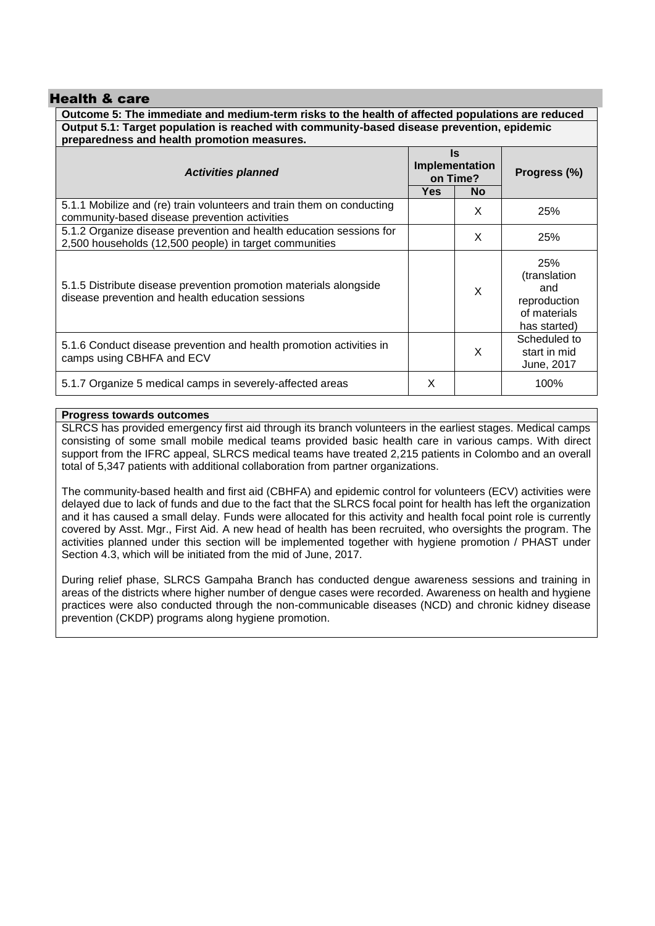### Health & care

**Outcome 5: The immediate and medium-term risks to the health of affected populations are reduced Output 5.1: Target population is reached with community-based disease prevention, epidemic preparedness and health promotion measures.**

| <b>Activities planned</b>                                                                                                     | ls.<br>Implementation<br>on Time?<br>Yes<br><b>No</b> |   | Progress (%)                                                               |
|-------------------------------------------------------------------------------------------------------------------------------|-------------------------------------------------------|---|----------------------------------------------------------------------------|
| 5.1.1 Mobilize and (re) train volunteers and train them on conducting<br>community-based disease prevention activities        |                                                       | X | 25%                                                                        |
| 5.1.2 Organize disease prevention and health education sessions for<br>2,500 households (12,500 people) in target communities |                                                       | X | 25%                                                                        |
| 5.1.5 Distribute disease prevention promotion materials alongside<br>disease prevention and health education sessions         |                                                       | X | 25%<br>(translation<br>and<br>reproduction<br>of materials<br>has started) |
| 5.1.6 Conduct disease prevention and health promotion activities in<br>camps using CBHFA and ECV                              |                                                       | X | Scheduled to<br>start in mid<br>June, 2017                                 |
| 5.1.7 Organize 5 medical camps in severely-affected areas                                                                     | X                                                     |   | 100%                                                                       |

### **Progress towards outcomes**

SLRCS has provided emergency first aid through its branch volunteers in the earliest stages. Medical camps consisting of some small mobile medical teams provided basic health care in various camps. With direct support from the IFRC appeal, SLRCS medical teams have treated 2,215 patients in Colombo and an overall total of 5,347 patients with additional collaboration from partner organizations.

The community-based health and first aid (CBHFA) and epidemic control for volunteers (ECV) activities were delayed due to lack of funds and due to the fact that the SLRCS focal point for health has left the organization and it has caused a small delay. Funds were allocated for this activity and health focal point role is currently covered by Asst. Mgr., First Aid. A new head of health has been recruited, who oversights the program. The activities planned under this section will be implemented together with hygiene promotion / PHAST under Section 4.3, which will be initiated from the mid of June, 2017.

During relief phase, SLRCS Gampaha Branch has conducted dengue awareness sessions and training in areas of the districts where higher number of dengue cases were recorded. Awareness on health and hygiene practices were also conducted through the non-communicable diseases (NCD) and chronic kidney disease prevention (CKDP) programs along hygiene promotion.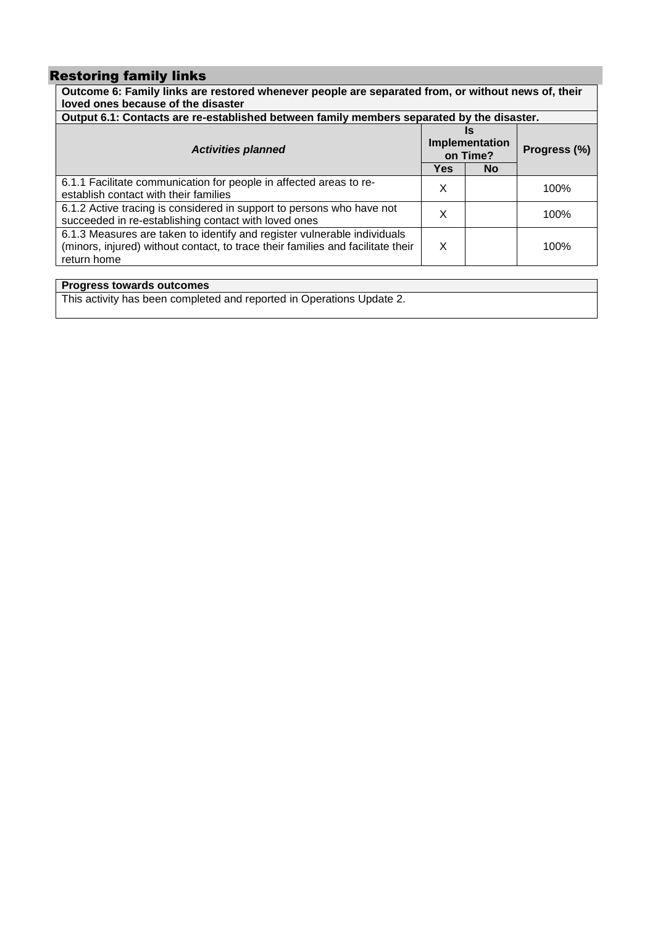# Restoring family links

| Outcome 6: Family links are restored whenever people are separated from, or without news of, their<br>loved ones because of the disaster                                   |                                  |           |              |
|----------------------------------------------------------------------------------------------------------------------------------------------------------------------------|----------------------------------|-----------|--------------|
| Output 6.1: Contacts are re-established between family members separated by the disaster.                                                                                  |                                  |           |              |
| <b>Activities planned</b>                                                                                                                                                  | Is<br>Implementation<br>on Time? |           | Progress (%) |
|                                                                                                                                                                            | <b>Yes</b>                       | <b>No</b> |              |
| 6.1.1 Facilitate communication for people in affected areas to re-<br>establish contact with their families                                                                | X                                |           | 100%         |
| 6.1.2 Active tracing is considered in support to persons who have not<br>succeeded in re-establishing contact with loved ones                                              | X                                |           | 100%         |
| 6.1.3 Measures are taken to identify and register vulnerable individuals<br>(minors, injured) without contact, to trace their families and facilitate their<br>return home | X                                |           | 100%         |
|                                                                                                                                                                            |                                  |           |              |

**Progress towards outcomes**

This activity has been completed and reported in Operations Update 2.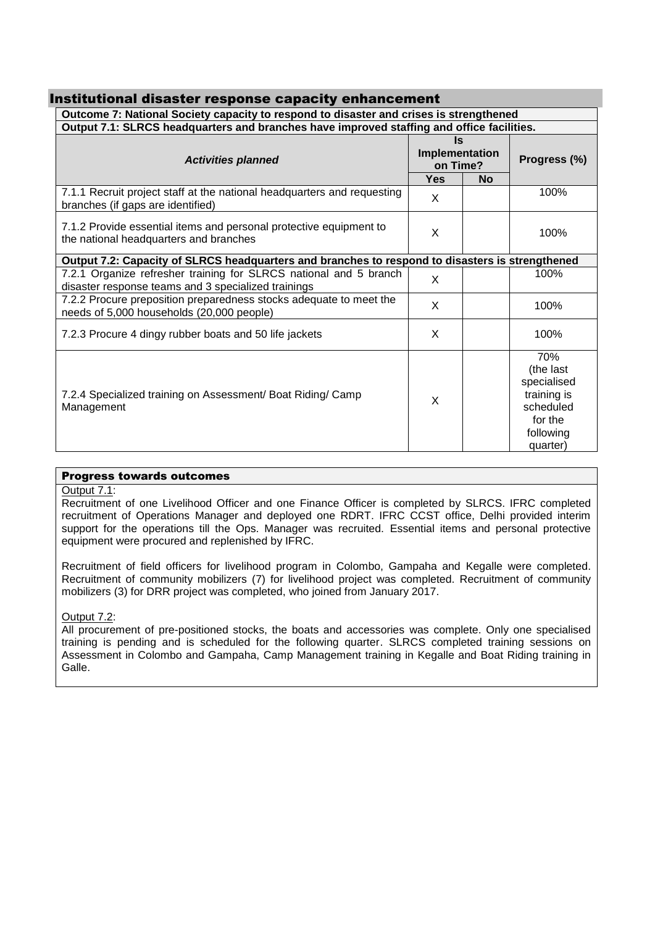| Institutional disaster response capacity enhancement                                                                     |                                         |           |                                                                                                 |  |
|--------------------------------------------------------------------------------------------------------------------------|-----------------------------------------|-----------|-------------------------------------------------------------------------------------------------|--|
| Outcome 7: National Society capacity to respond to disaster and crises is strengthened                                   |                                         |           |                                                                                                 |  |
| Output 7.1: SLRCS headquarters and branches have improved staffing and office facilities.                                |                                         |           |                                                                                                 |  |
| <b>Activities planned</b>                                                                                                | <b>Is</b><br>Implementation<br>on Time? |           | Progress (%)                                                                                    |  |
|                                                                                                                          | <b>Yes</b>                              | <b>No</b> |                                                                                                 |  |
| 7.1.1 Recruit project staff at the national headquarters and requesting<br>branches (if gaps are identified)             | X                                       |           | 100%                                                                                            |  |
| 7.1.2 Provide essential items and personal protective equipment to<br>the national headquarters and branches             | X                                       |           | 100%                                                                                            |  |
| Output 7.2: Capacity of SLRCS headquarters and branches to respond to disasters is strengthened                          |                                         |           |                                                                                                 |  |
| 7.2.1 Organize refresher training for SLRCS national and 5 branch<br>disaster response teams and 3 specialized trainings | X                                       |           | 100%                                                                                            |  |
| 7.2.2 Procure preposition preparedness stocks adequate to meet the<br>needs of 5,000 households (20,000 people)          | $\times$                                |           | 100%                                                                                            |  |
| 7.2.3 Procure 4 dingy rubber boats and 50 life jackets                                                                   | X                                       |           | 100%                                                                                            |  |
| 7.2.4 Specialized training on Assessment/ Boat Riding/ Camp<br>Management                                                | X                                       |           | 70%<br>(the last<br>specialised<br>training is<br>scheduled<br>for the<br>following<br>quarter) |  |

### Progress towards outcomes

### Output 7.1:

Recruitment of one Livelihood Officer and one Finance Officer is completed by SLRCS. IFRC completed recruitment of Operations Manager and deployed one RDRT. IFRC CCST office, Delhi provided interim support for the operations till the Ops. Manager was recruited. Essential items and personal protective equipment were procured and replenished by IFRC.

Recruitment of field officers for livelihood program in Colombo, Gampaha and Kegalle were completed. Recruitment of community mobilizers (7) for livelihood project was completed. Recruitment of community mobilizers (3) for DRR project was completed, who joined from January 2017.

### Output 7.2:

All procurement of pre-positioned stocks, the boats and accessories was complete. Only one specialised training is pending and is scheduled for the following quarter. SLRCS completed training sessions on Assessment in Colombo and Gampaha, Camp Management training in Kegalle and Boat Riding training in Galle.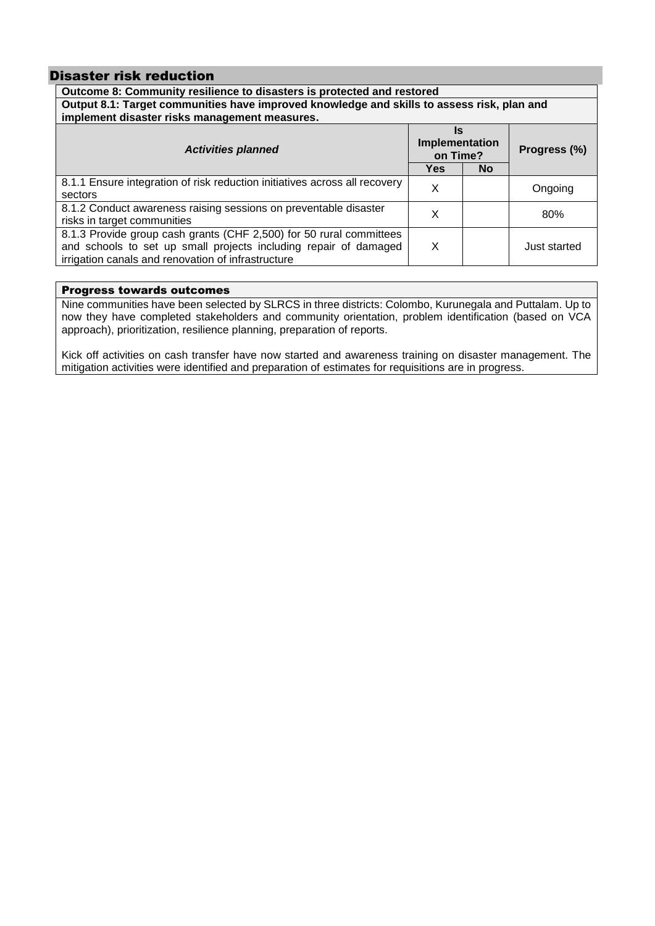### Disaster risk reduction

| Outcome 8: Community resilience to disasters is protected and restored                                                                                                                        |            |           |              |
|-----------------------------------------------------------------------------------------------------------------------------------------------------------------------------------------------|------------|-----------|--------------|
| Output 8.1: Target communities have improved knowledge and skills to assess risk, plan and                                                                                                    |            |           |              |
| implement disaster risks management measures.                                                                                                                                                 |            |           |              |
| Is<br>Implementation<br><b>Activities planned</b><br>on Time?                                                                                                                                 |            |           | Progress (%) |
|                                                                                                                                                                                               | <b>Yes</b> | <b>No</b> |              |
| 8.1.1 Ensure integration of risk reduction initiatives across all recovery<br>sectors                                                                                                         | X          |           | Ongoing      |
| 8.1.2 Conduct awareness raising sessions on preventable disaster<br>risks in target communities                                                                                               | x          |           | 80%          |
| 8.1.3 Provide group cash grants (CHF 2,500) for 50 rural committees<br>and schools to set up small projects including repair of damaged<br>irrigation canals and renovation of infrastructure | X          |           | Just started |

### Progress towards outcomes

Nine communities have been selected by SLRCS in three districts: Colombo, Kurunegala and Puttalam. Up to now they have completed stakeholders and community orientation, problem identification (based on VCA approach), prioritization, resilience planning, preparation of reports.

Kick off activities on cash transfer have now started and awareness training on disaster management. The mitigation activities were identified and preparation of estimates for requisitions are in progress.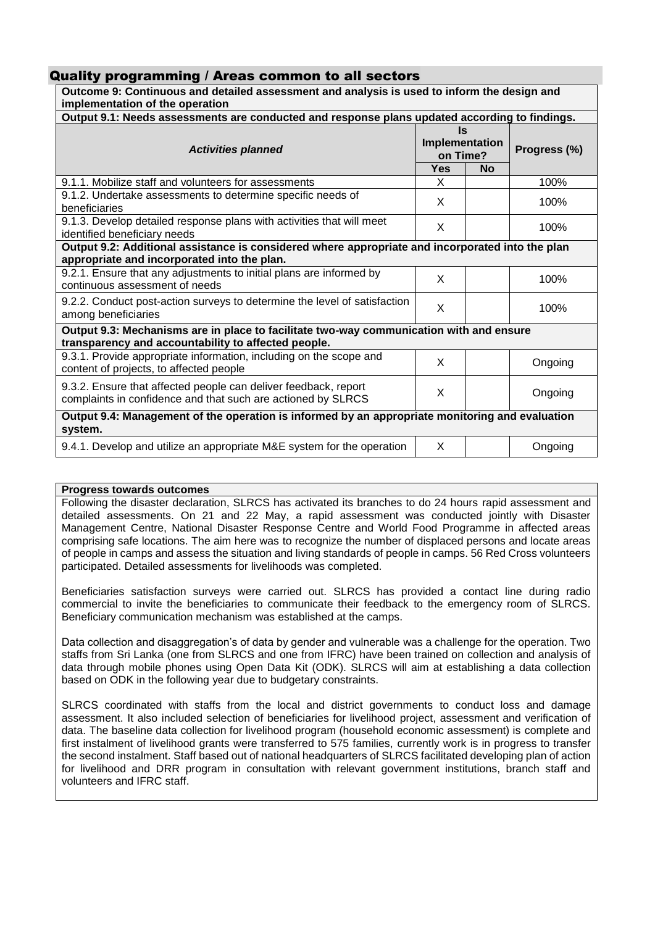### Quality programming / Areas common to all sectors

| Outcome 9: Continuous and detailed assessment and analysis is used to inform the design and<br>implementation of the operation                  |            |                                         |              |
|-------------------------------------------------------------------------------------------------------------------------------------------------|------------|-----------------------------------------|--------------|
| Output 9.1: Needs assessments are conducted and response plans updated according to findings.                                                   |            |                                         |              |
| <b>Activities planned</b>                                                                                                                       |            | <b>Is</b><br>Implementation<br>on Time? | Progress (%) |
|                                                                                                                                                 | <b>Yes</b> | <b>No</b>                               |              |
| 9.1.1. Mobilize staff and volunteers for assessments                                                                                            | X          |                                         | 100%         |
| 9.1.2. Undertake assessments to determine specific needs of<br>beneficiaries                                                                    | X          |                                         | 100%         |
| 9.1.3. Develop detailed response plans with activities that will meet<br>identified beneficiary needs                                           | X          |                                         | 100%         |
| Output 9.2: Additional assistance is considered where appropriate and incorporated into the plan<br>appropriate and incorporated into the plan. |            |                                         |              |
| 9.2.1. Ensure that any adjustments to initial plans are informed by<br>continuous assessment of needs                                           | X          |                                         | 100%         |
| 9.2.2. Conduct post-action surveys to determine the level of satisfaction<br>among beneficiaries                                                | X          |                                         | 100%         |
| Output 9.3: Mechanisms are in place to facilitate two-way communication with and ensure                                                         |            |                                         |              |
| transparency and accountability to affected people.                                                                                             |            |                                         |              |
| 9.3.1. Provide appropriate information, including on the scope and<br>content of projects, to affected people                                   | X          |                                         | Ongoing      |
| 9.3.2. Ensure that affected people can deliver feedback, report<br>complaints in confidence and that such are actioned by SLRCS                 | X          |                                         | Ongoing      |
| Output 9.4: Management of the operation is informed by an appropriate monitoring and evaluation<br>system.                                      |            |                                         |              |
| 9.4.1. Develop and utilize an appropriate M&E system for the operation                                                                          | X          |                                         | Ongoing      |

### **Progress towards outcomes**

Following the disaster declaration, SLRCS has activated its branches to do 24 hours rapid assessment and detailed assessments. On 21 and 22 May, a rapid assessment was conducted jointly with Disaster Management Centre, National Disaster Response Centre and World Food Programme in affected areas comprising safe locations. The aim here was to recognize the number of displaced persons and locate areas of people in camps and assess the situation and living standards of people in camps. 56 Red Cross volunteers participated. Detailed assessments for livelihoods was completed.

Beneficiaries satisfaction surveys were carried out. SLRCS has provided a contact line during radio commercial to invite the beneficiaries to communicate their feedback to the emergency room of SLRCS. Beneficiary communication mechanism was established at the camps.

Data collection and disaggregation's of data by gender and vulnerable was a challenge for the operation. Two staffs from Sri Lanka (one from SLRCS and one from IFRC) have been trained on collection and analysis of data through mobile phones using Open Data Kit (ODK). SLRCS will aim at establishing a data collection based on ODK in the following year due to budgetary constraints.

SLRCS coordinated with staffs from the local and district governments to conduct loss and damage assessment. It also included selection of beneficiaries for livelihood project, assessment and verification of data. The baseline data collection for livelihood program (household economic assessment) is complete and first instalment of livelihood grants were transferred to 575 families, currently work is in progress to transfer the second instalment. Staff based out of national headquarters of SLRCS facilitated developing plan of action for livelihood and DRR program in consultation with relevant government institutions, branch staff and volunteers and IFRC staff.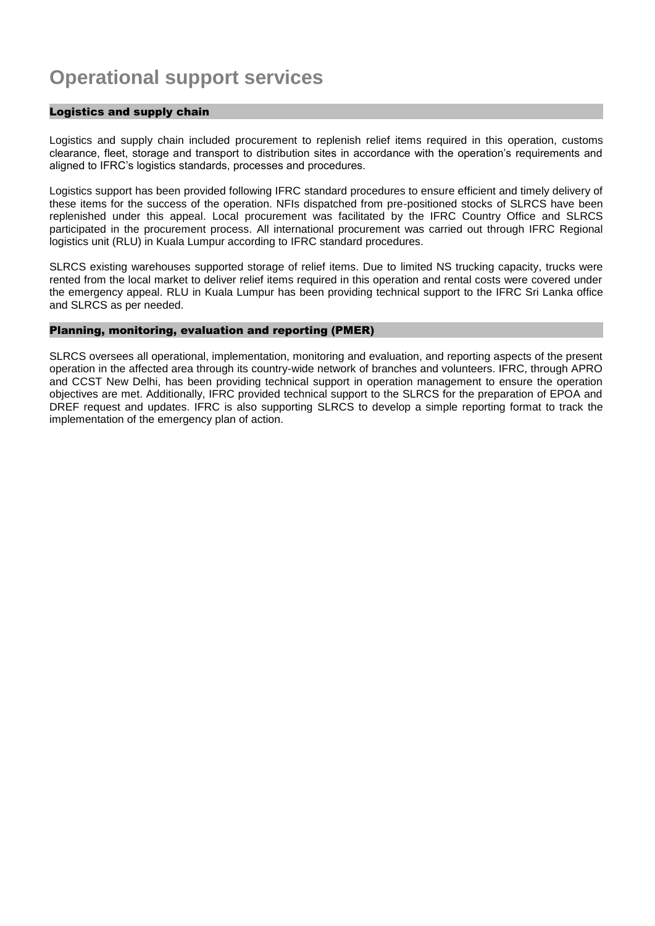# **Operational support services**

### Logistics and supply chain

Logistics and supply chain included procurement to replenish relief items required in this operation, customs clearance, fleet, storage and transport to distribution sites in accordance with the operation's requirements and aligned to IFRC's logistics standards, processes and procedures.

Logistics support has been provided following IFRC standard procedures to ensure efficient and timely delivery of these items for the success of the operation. NFIs dispatched from pre-positioned stocks of SLRCS have been replenished under this appeal. Local procurement was facilitated by the IFRC Country Office and SLRCS participated in the procurement process. All international procurement was carried out through IFRC Regional logistics unit (RLU) in Kuala Lumpur according to IFRC standard procedures.

SLRCS existing warehouses supported storage of relief items. Due to limited NS trucking capacity, trucks were rented from the local market to deliver relief items required in this operation and rental costs were covered under the emergency appeal. RLU in Kuala Lumpur has been providing technical support to the IFRC Sri Lanka office and SLRCS as per needed.

### Planning, monitoring, evaluation and reporting (PMER)

SLRCS oversees all operational, implementation, monitoring and evaluation, and reporting aspects of the present operation in the affected area through its country-wide network of branches and volunteers. IFRC, through APRO and CCST New Delhi, has been providing technical support in operation management to ensure the operation objectives are met. Additionally, IFRC provided technical support to the SLRCS for the preparation of EPOA and DREF request and updates. IFRC is also supporting SLRCS to develop a simple reporting format to track the implementation of the emergency plan of action.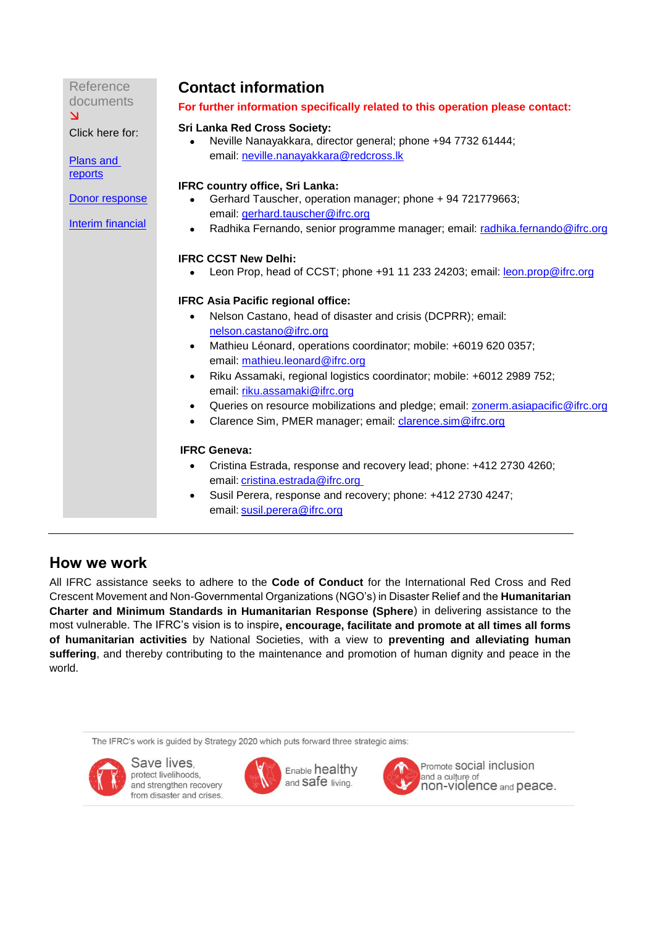| Reference                            | <b>Contact information</b>                                                                                           |
|--------------------------------------|----------------------------------------------------------------------------------------------------------------------|
| documents<br>$\overline{\mathsf{M}}$ | For further information specifically related to this operation please contact:                                       |
| Click here for:                      | <b>Sri Lanka Red Cross Society:</b><br>Neville Nanayakkara, director general; phone +94 7732 61444;                  |
| <b>Plans and</b>                     | email: neville.nanayakkara@redcross.lk                                                                               |
| reports                              | <b>IFRC country office, Sri Lanka:</b>                                                                               |
| Donor response                       | Gerhard Tauscher, operation manager; phone + 94 721779663;                                                           |
| Interim financial                    | email: gerhard.tauscher@ifrc.org                                                                                     |
|                                      | Radhika Fernando, senior programme manager; email: radhika.fernando@ifrc.org                                         |
|                                      | <b>IFRC CCST New Delhi:</b>                                                                                          |
|                                      | Leon Prop, head of CCST; phone +91 11 233 24203; email: leon.prop@ifrc.org                                           |
|                                      |                                                                                                                      |
|                                      | <b>IFRC Asia Pacific regional office:</b>                                                                            |
|                                      | Nelson Castano, head of disaster and crisis (DCPRR); email:                                                          |
|                                      | nelson.castano@ifrc.org                                                                                              |
|                                      | Mathieu Léonard, operations coordinator; mobile: +6019 620 0357;                                                     |
|                                      | email: mathieu.leonard@ifrc.org                                                                                      |
|                                      | Riku Assamaki, regional logistics coordinator; mobile: +6012 2989 752;<br>$\bullet$<br>email: riku.assamaki@ifrc.org |
|                                      | Queries on resource mobilizations and pledge; email: zonerm.asiapacific@ifrc.org                                     |
|                                      | Clarence Sim, PMER manager; email: clarence.sim@ifrc.org<br>$\bullet$                                                |
|                                      |                                                                                                                      |
|                                      | <b>IFRC Geneva:</b>                                                                                                  |
|                                      | Cristina Estrada, response and recovery lead; phone: +412 2730 4260;<br>$\bullet$                                    |
|                                      | email: cristina.estrada@ifrc.org                                                                                     |
|                                      | Susil Perera, response and recovery; phone: +412 2730 4247;                                                          |
|                                      | email: susil.perera@ifrc.org                                                                                         |

# How we work

All IFRC assistance seeks to adhere to the **Code of Conduct** for the International Red Cross and Red Crescent Movement and Non-Governmental Organizations (NGO's) in Disaster Relief and the **Humanitarian Charter and Minimum Standards in Humanitarian Response (Sphere**) in delivering assistance to the most vulnerable. The IFRC's vision is to inspire**, encourage, facilitate and promote at all times all forms of humanitarian activities** by National Societies, with a view to **preventing and alleviating human suffering**, and thereby contributing to the maintenance and promotion of human dignity and peace in the world.

The IFRC's work is guided by Strategy 2020 which puts forward three strategic aims:



Save lives, protect livelihoods, and strengthen recovery from disaster and crises.



Enable healthy and Safe living.



Promote SOCial inclusion and a culture of non-violence and peace.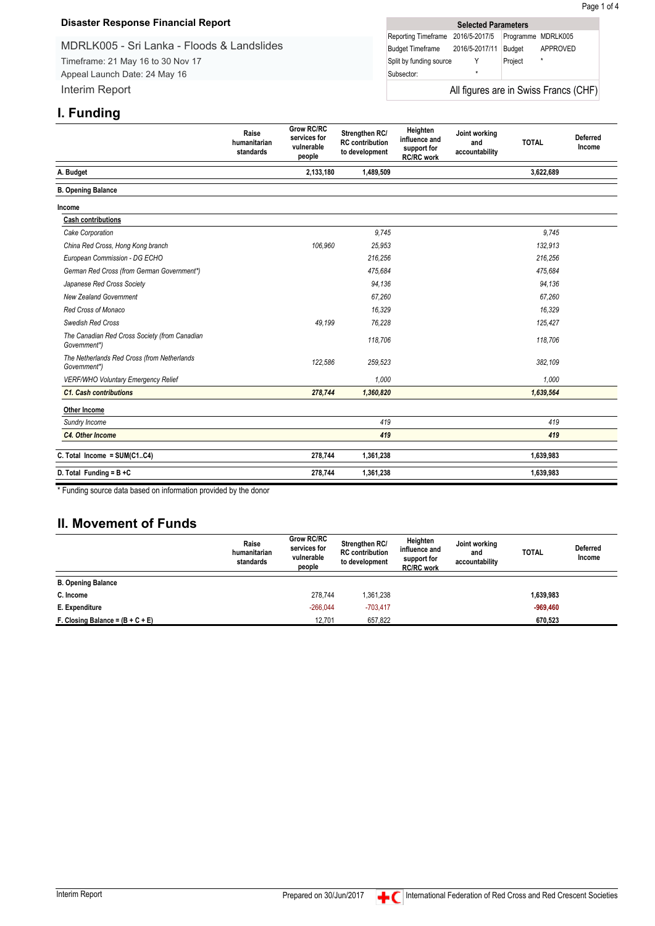### <span id="page-15-0"></span>**Disaster Response Financial Report**

MDRLK005 - Sri Lanka - Floods & Landslides Timeframe: 21 May 16 to 30 Nov 17

Appeal Launch Date: 24 May 16 Interim Report

| <b>Selected Parameters</b>            |         |                    |          |  |  |
|---------------------------------------|---------|--------------------|----------|--|--|
| Reporting Timeframe 2016/5-2017/5     |         | Programme MDRLK005 |          |  |  |
| Budget Timeframe 2016/5-2017/11       |         | Budget             | APPROVED |  |  |
| Split by funding source               |         | Project            | $\star$  |  |  |
| Subsector:                            | $\star$ |                    |          |  |  |
| All figures are in Swiss Francs (CHF) |         |                    |          |  |  |

# **I. Funding**

| . uu <u>y</u>                                                 | Raise<br>humanitarian<br>standards | <b>Grow RC/RC</b><br>services for<br>vulnerable<br>people | Strengthen RC/<br><b>RC</b> contribution<br>to development | Heighten<br>influence and<br>support for<br><b>RC/RC</b> work | Joint working<br>and<br>accountability | <b>TOTAL</b> | <b>Deferred</b><br>Income |
|---------------------------------------------------------------|------------------------------------|-----------------------------------------------------------|------------------------------------------------------------|---------------------------------------------------------------|----------------------------------------|--------------|---------------------------|
| A. Budget                                                     |                                    | 2,133,180                                                 | 1,489,509                                                  |                                                               |                                        | 3,622,689    |                           |
| <b>B. Opening Balance</b>                                     |                                    |                                                           |                                                            |                                                               |                                        |              |                           |
| Income                                                        |                                    |                                                           |                                                            |                                                               |                                        |              |                           |
| <b>Cash contributions</b>                                     |                                    |                                                           |                                                            |                                                               |                                        |              |                           |
| Cake Corporation                                              |                                    |                                                           | 9,745                                                      |                                                               |                                        | 9,745        |                           |
| China Red Cross, Hong Kong branch                             |                                    | 106,960                                                   | 25,953                                                     |                                                               |                                        | 132,913      |                           |
| European Commission - DG ECHO                                 |                                    |                                                           | 216,256                                                    |                                                               |                                        | 216,256      |                           |
| German Red Cross (from German Government*)                    |                                    |                                                           | 475.684                                                    |                                                               |                                        | 475,684      |                           |
| Japanese Red Cross Society                                    |                                    |                                                           | 94,136                                                     |                                                               |                                        | 94,136       |                           |
| <b>New Zealand Government</b>                                 |                                    |                                                           | 67,260                                                     |                                                               |                                        | 67,260       |                           |
| Red Cross of Monaco                                           |                                    |                                                           | 16,329                                                     |                                                               |                                        | 16,329       |                           |
| Swedish Red Cross                                             |                                    | 49.199                                                    | 76,228                                                     |                                                               |                                        | 125,427      |                           |
| The Canadian Red Cross Society (from Canadian<br>Government*) |                                    |                                                           | 118,706                                                    |                                                               |                                        | 118,706      |                           |
| The Netherlands Red Cross (from Netherlands<br>Government*)   |                                    | 122,586                                                   | 259,523                                                    |                                                               |                                        | 382,109      |                           |
| VERF/WHO Voluntary Emergency Relief                           |                                    |                                                           | 1,000                                                      |                                                               |                                        | 1,000        |                           |
| <b>C1. Cash contributions</b>                                 |                                    | 278,744                                                   | 1,360,820                                                  |                                                               |                                        | 1,639,564    |                           |
| Other Income                                                  |                                    |                                                           |                                                            |                                                               |                                        |              |                           |
| Sundry Income                                                 |                                    |                                                           | 419                                                        |                                                               |                                        | 419          |                           |
| C4. Other Income                                              |                                    |                                                           | 419                                                        |                                                               |                                        | 419          |                           |
| C. Total Income = SUM(C1C4)                                   |                                    | 278,744                                                   | 1,361,238                                                  |                                                               |                                        | 1,639,983    |                           |
| D. Total Funding = $B + C$                                    |                                    | 278,744                                                   | 1,361,238                                                  |                                                               |                                        | 1,639,983    |                           |

\* Funding source data based on information provided by the donor

## **II. Movement of Funds**

|                                    | Raise<br>humanitarian<br>standards | <b>Grow RC/RC</b><br>services for<br>vulnerable<br>people | <b>Strengthen RC/</b><br><b>RC</b> contribution<br>to development | Heighten<br>influence and<br>support for<br><b>RC/RC</b> work | Joint working<br>and<br>accountability | <b>TOTAL</b> | <b>Deferred</b><br>Income |
|------------------------------------|------------------------------------|-----------------------------------------------------------|-------------------------------------------------------------------|---------------------------------------------------------------|----------------------------------------|--------------|---------------------------|
| <b>B. Opening Balance</b>          |                                    |                                                           |                                                                   |                                                               |                                        |              |                           |
| C. Income                          |                                    | 278.744                                                   | 1,361,238                                                         |                                                               |                                        | 1,639,983    |                           |
| E. Expenditure                     |                                    | $-266.044$                                                | $-703,417$                                                        |                                                               |                                        | $-969.460$   |                           |
| F. Closing Balance = $(B + C + E)$ |                                    | 12,701                                                    | 657,822                                                           |                                                               |                                        | 670,523      |                           |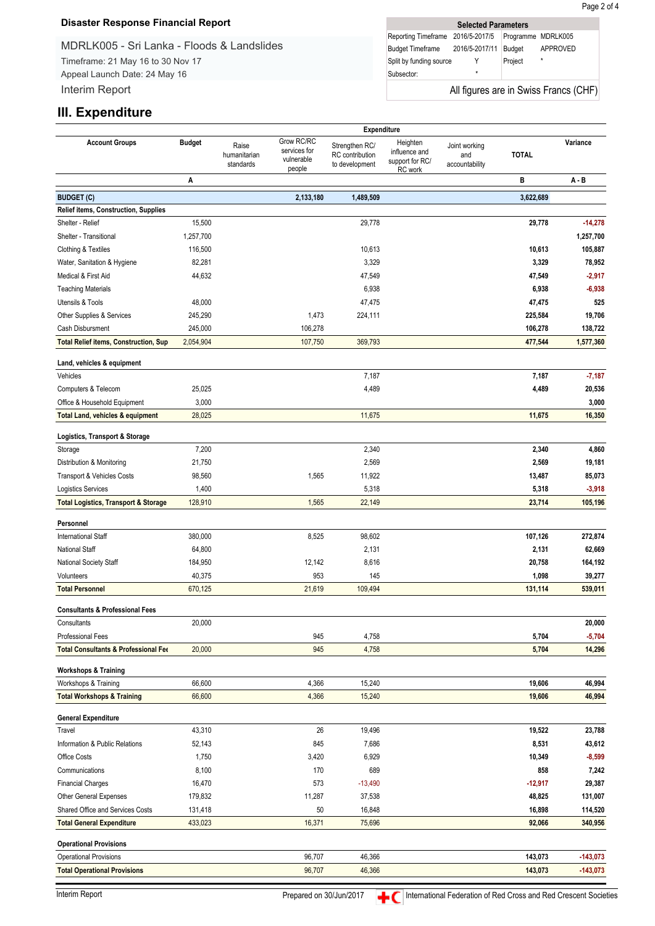### **Disaster Response Financial Report**

MDRLK005 - Sri Lanka - Floods & Landslides Timeframe: 21 May 16 to 30 Nov 17

Appeal Launch Date: 24 May 16 Interim Report

| <b>Selected Parameters</b>        |         |         |                                       |  |  |  |  |  |
|-----------------------------------|---------|---------|---------------------------------------|--|--|--|--|--|
| Reporting Timeframe 2016/5-2017/5 |         |         | Programme MDRLK005                    |  |  |  |  |  |
| Budget Timeframe 2016/5-2017/11   |         | Budget  | APPROVED                              |  |  |  |  |  |
| Split by funding source           |         | Project | $\star$                               |  |  |  |  |  |
| Subsector:                        | $\star$ |         |                                       |  |  |  |  |  |
|                                   |         |         | All figures are in Swiss Francs (CHF) |  |  |  |  |  |

## **III. Expenditure**

|                                                 | Expenditure   |                                    |                                                    |                                                     |                                                         |                                        |              |            |
|-------------------------------------------------|---------------|------------------------------------|----------------------------------------------------|-----------------------------------------------------|---------------------------------------------------------|----------------------------------------|--------------|------------|
| <b>Account Groups</b>                           | <b>Budget</b> | Raise<br>humanitarian<br>standards | Grow RC/RC<br>services for<br>vulnerable<br>people | Strengthen RC/<br>RC contribution<br>to development | Heighten<br>influence and<br>support for RC/<br>RC work | Joint working<br>and<br>accountability | <b>TOTAL</b> | Variance   |
|                                                 | Α             |                                    |                                                    |                                                     |                                                         |                                        | в            | A - B      |
| <b>BUDGET (C)</b>                               |               |                                    | 2,133,180                                          | 1,489,509                                           |                                                         |                                        | 3,622,689    |            |
| Relief items, Construction, Supplies            |               |                                    |                                                    |                                                     |                                                         |                                        |              |            |
| Shelter - Relief                                | 15,500        |                                    |                                                    | 29,778                                              |                                                         |                                        | 29,778       | $-14,278$  |
| Shelter - Transitional                          | 1,257,700     |                                    |                                                    |                                                     |                                                         |                                        |              | 1,257,700  |
| Clothing & Textiles                             | 116,500       |                                    |                                                    | 10,613                                              |                                                         |                                        | 10,613       | 105,887    |
| Water, Sanitation & Hygiene                     | 82,281        |                                    |                                                    | 3,329                                               |                                                         |                                        | 3,329        | 78,952     |
| Medical & First Aid                             | 44,632        |                                    |                                                    | 47,549                                              |                                                         |                                        | 47,549       | $-2,917$   |
| <b>Teaching Materials</b>                       |               |                                    |                                                    | 6,938                                               |                                                         |                                        | 6,938        | $-6,938$   |
| Utensils & Tools                                | 48,000        |                                    |                                                    | 47,475                                              |                                                         |                                        | 47,475       | 525        |
| Other Supplies & Services                       | 245,290       |                                    | 1,473                                              | 224,111                                             |                                                         |                                        | 225,584      | 19,706     |
| Cash Disbursment                                | 245,000       |                                    | 106,278                                            |                                                     |                                                         |                                        | 106,278      | 138,722    |
| <b>Total Relief items, Construction, Sup</b>    | 2,054,904     |                                    | 107,750                                            | 369,793                                             |                                                         |                                        | 477,544      | 1,577,360  |
| Land, vehicles & equipment                      |               |                                    |                                                    |                                                     |                                                         |                                        |              |            |
| Vehicles                                        |               |                                    |                                                    | 7,187                                               |                                                         |                                        | 7,187        | $-7,187$   |
| Computers & Telecom                             | 25,025        |                                    |                                                    | 4,489                                               |                                                         |                                        | 4,489        | 20,536     |
| Office & Household Equipment                    | 3,000         |                                    |                                                    |                                                     |                                                         |                                        |              | 3,000      |
| Total Land, vehicles & equipment                | 28,025        |                                    |                                                    | 11,675                                              |                                                         |                                        | 11,675       | 16,350     |
| Logistics, Transport & Storage                  |               |                                    |                                                    |                                                     |                                                         |                                        |              |            |
| Storage                                         | 7,200         |                                    |                                                    | 2,340                                               |                                                         |                                        | 2,340        | 4,860      |
| Distribution & Monitoring                       | 21,750        |                                    |                                                    | 2,569                                               |                                                         |                                        | 2,569        | 19,181     |
| Transport & Vehicles Costs                      | 98,560        |                                    | 1,565                                              | 11,922                                              |                                                         |                                        | 13,487       | 85,073     |
| <b>Logistics Services</b>                       | 1,400         |                                    |                                                    | 5,318                                               |                                                         |                                        | 5,318        | $-3,918$   |
| <b>Total Logistics, Transport &amp; Storage</b> | 128,910       |                                    | 1,565                                              | 22,149                                              |                                                         |                                        | 23,714       | 105,196    |
| Personnel                                       |               |                                    |                                                    |                                                     |                                                         |                                        |              |            |
| <b>International Staff</b>                      | 380,000       |                                    | 8,525                                              | 98,602                                              |                                                         |                                        | 107,126      | 272,874    |
| <b>National Staff</b>                           | 64,800        |                                    |                                                    | 2,131                                               |                                                         |                                        | 2,131        | 62,669     |
| National Society Staff                          | 184,950       |                                    | 12,142                                             | 8,616                                               |                                                         |                                        | 20,758       | 164,192    |
| Volunteers                                      | 40,375        |                                    | 953                                                | 145                                                 |                                                         |                                        | 1,098        | 39,277     |
| <b>Total Personnel</b>                          | 670,125       |                                    | 21,619                                             | 109,494                                             |                                                         |                                        | 131,114      | 539,011    |
| <b>Consultants &amp; Professional Fees</b>      |               |                                    |                                                    |                                                     |                                                         |                                        |              |            |
| Consultants                                     | 20,000        |                                    |                                                    |                                                     |                                                         |                                        |              | 20,000     |
| <b>Professional Fees</b>                        |               |                                    | 945                                                | 4,758                                               |                                                         |                                        | 5,704        | $-5,704$   |
| <b>Total Consultants &amp; Professional Fee</b> | 20,000        |                                    | 945                                                | 4,758                                               |                                                         |                                        | 5,704        | 14,296     |
| <b>Workshops &amp; Training</b>                 |               |                                    |                                                    |                                                     |                                                         |                                        |              |            |
| Workshops & Training                            | 66,600        |                                    | 4,366                                              | 15,240                                              |                                                         |                                        | 19,606       | 46,994     |
| <b>Total Workshops &amp; Training</b>           | 66,600        |                                    | 4,366                                              | 15,240                                              |                                                         |                                        | 19,606       | 46,994     |
| <b>General Expenditure</b>                      |               |                                    |                                                    |                                                     |                                                         |                                        |              |            |
| Travel                                          | 43,310        |                                    | 26                                                 | 19,496                                              |                                                         |                                        | 19,522       | 23,788     |
| Information & Public Relations                  | 52,143        |                                    | 845                                                | 7,686                                               |                                                         |                                        | 8,531        | 43,612     |
| Office Costs                                    | 1,750         |                                    | 3,420                                              | 6,929                                               |                                                         |                                        | 10,349       | $-8,599$   |
| Communications                                  | 8,100         |                                    | 170                                                | 689                                                 |                                                         |                                        | 858          | 7,242      |
| <b>Financial Charges</b>                        | 16,470        |                                    | 573                                                | $-13,490$                                           |                                                         |                                        | $-12,917$    | 29,387     |
| Other General Expenses                          | 179,832       |                                    | 11,287                                             | 37,538                                              |                                                         |                                        | 48,825       | 131,007    |
| Shared Office and Services Costs                | 131,418       |                                    | 50                                                 | 16,848                                              |                                                         |                                        | 16,898       | 114,520    |
| <b>Total General Expenditure</b>                | 433,023       |                                    | 16,371                                             | 75,696                                              |                                                         |                                        | 92,066       | 340,956    |
| <b>Operational Provisions</b>                   |               |                                    |                                                    |                                                     |                                                         |                                        |              |            |
| Operational Provisions                          |               |                                    | 96,707                                             | 46,366                                              |                                                         |                                        | 143,073      | $-143,073$ |
| <b>Total Operational Provisions</b>             |               |                                    | 96,707                                             | 46,366                                              |                                                         |                                        | 143,073      | $-143,073$ |